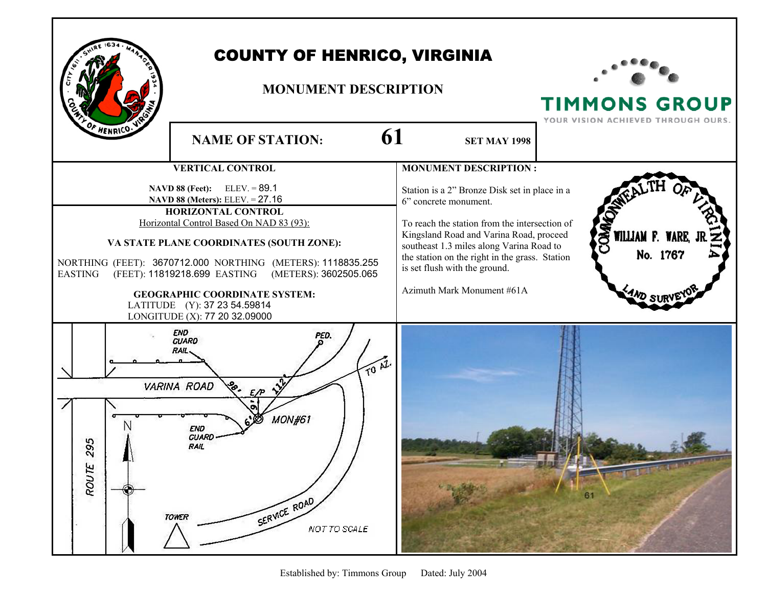## **HENRICO**

## COUNTY OF HENRICO, VIRGINIA

## **MONUMENT DESCRIPTION**



**TIMMONS GROUP**